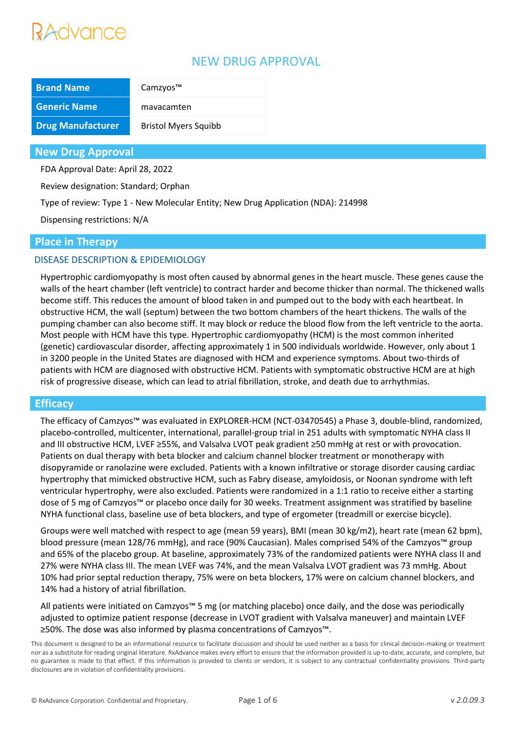# Advance

# NEW DRUG APPROVAL

| <b>Brand Name</b>        | Camzyos™                    |
|--------------------------|-----------------------------|
| <b>Generic Name</b>      | mavacamten                  |
| <b>Drug Manufacturer</b> | <b>Bristol Myers Squibb</b> |

## **New Drug Approval**

FDA Approval Date: April 28, 2022

Review designation: Standard; Orphan

Type of review: Type 1 - New Molecular Entity; New Drug Application (NDA): 214998

Dispensing restrictions: N/A

### **Place in Therapy**

## DISEASE DESCRIPTION & EPIDEMIOLOGY

Hypertrophic cardiomyopathy is most often caused by abnormal genes in the heart muscle. These genes cause the walls of the heart chamber (left ventricle) to contract harder and become thicker than normal. The thickened walls become stiff. This reduces the amount of blood taken in and pumped out to the body with each heartbeat. In obstructive HCM, the wall (septum) between the two bottom chambers of the heart thickens. The walls of the pumping chamber can also become stiff. It may block or reduce the blood flow from the left ventricle to the aorta. Most people with HCM have this type. Hypertrophic cardiomyopathy (HCM) is the most common inherited (genetic) cardiovascular disorder, affecting approximately 1 in 500 individuals worldwide. However, only about 1 in 3200 people in the United States are diagnosed with HCM and experience symptoms. About two-thirds of patients with HCM are diagnosed with obstructive HCM. Patients with symptomatic obstructive HCM are at high risk of progressive disease, which can lead to atrial fibrillation, stroke, and death due to arrhythmias.

## **Efficacy**

The efficacy of Camzyos™ was evaluated in EXPLORER-HCM (NCT-03470545) a Phase 3, double-blind, randomized, placebo-controlled, multicenter, international, parallel-group trial in 251 adults with symptomatic NYHA class II and III obstructive HCM, LVEF ≥55%, and Valsalva LVOT peak gradient ≥50 mmHg at rest or with provocation. Patients on dual therapy with beta blocker and calcium channel blocker treatment or monotherapy with disopyramide or ranolazine were excluded. Patients with a known infiltrative or storage disorder causing cardiac hypertrophy that mimicked obstructive HCM, such as Fabry disease, amyloidosis, or Noonan syndrome with left ventricular hypertrophy, were also excluded. Patients were randomized in a 1:1 ratio to receive either a starting dose of 5 mg of Camzyos™ or placebo once daily for 30 weeks. Treatment assignment was stratified by baseline NYHA functional class, baseline use of beta blockers, and type of ergometer (treadmill or exercise bicycle).

Groups were well matched with respect to age (mean 59 years), BMI (mean 30 kg/m2), heart rate (mean 62 bpm), blood pressure (mean 128/76 mmHg), and race (90% Caucasian). Males comprised 54% of the Camzyos™ group and 65% of the placebo group. At baseline, approximately 73% of the randomized patients were NYHA class II and 27% were NYHA class III. The mean LVEF was 74%, and the mean Valsalva LVOT gradient was 73 mmHg. About 10% had prior septal reduction therapy, 75% were on beta blockers, 17% were on calcium channel blockers, and 14% had a history of atrial fibrillation.

All patients were initiated on Camzyos™ 5 mg (or matching placebo) once daily, and the dose was periodically adjusted to optimize patient response (decrease in LVOT gradient with Valsalva maneuver) and maintain LVEF ≥50%. The dose was also informed by plasma concentrations of Camzyos™.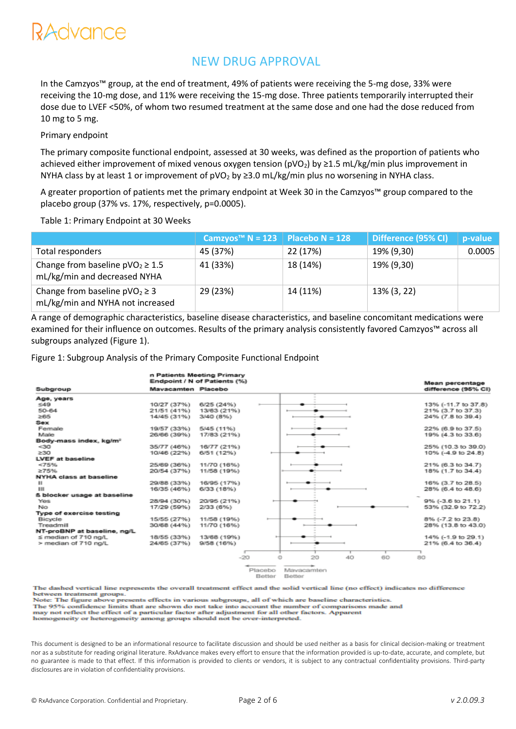# NEW DRUG APPROVAL

In the Camzyos™ group, at the end of treatment, 49% of patients were receiving the 5-mg dose, 33% were receiving the 10-mg dose, and 11% were receiving the 15-mg dose. Three patients temporarily interrupted their dose due to LVEF <50%, of whom two resumed treatment at the same dose and one had the dose reduced from 10 mg to 5 mg.

#### Primary endpoint

The primary composite functional endpoint, assessed at 30 weeks, was defined as the proportion of patients who achieved either improvement of mixed venous oxygen tension ( $pVO<sub>2</sub>$ ) by  $\geq$ 1.5 mL/kg/min plus improvement in NYHA class by at least 1 or improvement of  $pVO<sub>2</sub>$  by  $\geq$ 3.0 mL/kg/min plus no worsening in NYHA class.

A greater proportion of patients met the primary endpoint at Week 30 in the Camzyos™ group compared to the placebo group (37% vs. 17%, respectively, p=0.0005).

#### Table 1: Primary Endpoint at 30 Weeks

|                                                                       | Camzyos <sup>™</sup> N = 123   Placebo N = 128 |          | Difference (95% CI) | p-value |
|-----------------------------------------------------------------------|------------------------------------------------|----------|---------------------|---------|
| Total responders                                                      | 45 (37%)                                       | 22 (17%) | 19% (9,30)          | 0.0005  |
| Change from baseline $pVO2 \ge 1.5$<br>mL/kg/min and decreased NYHA   | 41 (33%)                                       | 18 (14%) | 19% (9,30)          |         |
| Change from baseline $pVO2 \ge 3$<br>mL/kg/min and NYHA not increased | 29 (23%)                                       | 14 (11%) | 13% (3, 22)         |         |

A range of demographic characteristics, baseline disease characteristics, and baseline concomitant medications were examined for their influence on outcomes. Results of the primary analysis consistently favored Camzyos™ across all subgroups analyzed (Figure 1).

Figure 1: Subgroup Analysis of the Primary Composite Functional Endpoint

|                                    | n Patients Meeting Primary<br>Endpoint / N of Patients (%) |             |                         |   |    | Mean percentage |    |                     |
|------------------------------------|------------------------------------------------------------|-------------|-------------------------|---|----|-----------------|----|---------------------|
| Subgroup                           | Mavacamten Placebo                                         |             |                         |   |    |                 |    | difference (95% CI) |
| Age, years                         |                                                            |             |                         |   |    |                 |    |                     |
| 549                                | 10/27 (37%)                                                | 6/25 (24%)  |                         |   |    |                 |    | 13% (-11.7 to 37.8) |
| $50 - 64$                          | 21/51 (41%)                                                | 13/63 (21%) |                         |   |    |                 |    | 21% (3.7 to 37.3)   |
| ≥65                                | 14/45 (31%)                                                | 3/40 (8%)   |                         |   |    |                 |    | 24% (7.8 to 39.4)   |
| Sex                                |                                                            |             |                         |   |    |                 |    |                     |
| Female                             | 19/57 (33%)                                                | 5/45 (11%)  |                         |   |    |                 |    | 22% (6.9 to 37.5)   |
| Male                               | 26/66 (39%)                                                | 17/83 (21%) |                         |   |    |                 |    | 19% (4.3 to 33.6)   |
| Body-mass index, kg/m <sup>2</sup> |                                                            |             |                         |   |    |                 |    |                     |
| $30$                               | 35/77 (46%)                                                | 16/77 (21%) |                         |   |    |                 |    | 25% (10.3 to 39.0)  |
| >30                                | 10/46 (22%)                                                | 6/51 (12%)  |                         |   |    |                 |    | 10% (-4.9 to 24.8)  |
| LVEF at baseline                   |                                                            |             |                         |   |    |                 |    |                     |
| <75%                               | 25/69 (36%)                                                | 11/70 (16%) |                         |   |    |                 |    | 21% (6.3 to 34.7)   |
| 275%                               | 20/54 (37%)                                                | 11/58 (19%) |                         |   |    |                 |    | 18% (1.7 to 34.4)   |
| NYHA class at baseline             |                                                            |             |                         |   |    |                 |    |                     |
| ш                                  | 29/88 (33%)                                                | 16/95 (17%) |                         |   |    |                 |    | 16% (3.7 to 28.5)   |
| ш                                  | 16/35 (46%)                                                | 6/33 (18%)  |                         |   |    |                 |    | 28% (6.4 to 48.6)   |
| <b>6 blocker usage at baseline</b> |                                                            |             |                         |   |    |                 |    |                     |
| Yes                                | 28/94 (30%)                                                | 20/95 (21%) |                         |   |    |                 |    | 9% (-3.6 to 21.1)   |
| No.                                | 17/29 (59%)                                                | 2/33 (6%)   |                         |   |    |                 |    | 53% (32.9 to 72.2)  |
| Type of exercise testing           |                                                            |             |                         |   |    |                 |    |                     |
| Bicycle                            | 15/55 (27%)                                                | 11/58 (19%) |                         |   |    |                 |    | 8% (-7.2 to 23.8)   |
| Treadmill                          | 30/68 (44%)                                                | 11/70 (16%) |                         |   |    |                 |    | 28% (13.8 to 43.0)  |
| NT-proBNP at baseline, ng/L        |                                                            |             |                         |   |    |                 |    |                     |
| ≤ median of 710 ng/L               | 18/55 (33%)                                                | 13/68 (19%) |                         |   |    |                 |    | 14% (-1.9 to 29.1)  |
| > median of 710 no/L               | 24/65 (37%)                                                | 9/58 (16%)  |                         |   |    |                 |    | 21% (6.4 to 36.4)   |
|                                    |                                                            |             |                         |   |    |                 |    |                     |
|                                    |                                                            | $-20$       |                         | 0 | 20 | 40              | 60 | 80 <sub>1</sub>     |
|                                    |                                                            |             |                         |   |    |                 |    |                     |
|                                    |                                                            |             | Dispositor Edmontonique |   |    |                 |    |                     |

Better Better

The dashed vertical line represents the overall treatment effect and the solid vertical line (no effect) indicates no difference between treatment groups.

Note: The figure above presents effects in various subgroups, all of which are baseline characteristics

The 95% confidence limits that are shown do not take into account the number of comparisons made and<br>may not reflect the effect of a particular factor after adjustment for all other factors. Apparent

homogeneity or heterogeneity among groups should not be over-interpreted.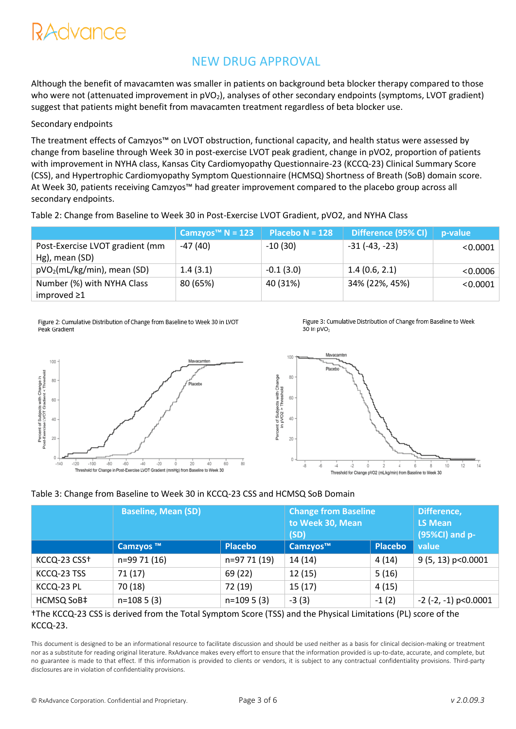# NEW DRUG APPROVAL

Although the benefit of mavacamten was smaller in patients on background beta blocker therapy compared to those who were not (attenuated improvement in pVO<sub>2</sub>), analyses of other secondary endpoints (symptoms, LVOT gradient) suggest that patients might benefit from mavacamten treatment regardless of beta blocker use.

#### Secondary endpoints

The treatment effects of Camzyos™ on LVOT obstruction, functional capacity, and health status were assessed by change from baseline through Week 30 in post-exercise LVOT peak gradient, change in pVO2, proportion of patients with improvement in NYHA class, Kansas City Cardiomyopathy Questionnaire-23 (KCCQ-23) Clinical Summary Score (CSS), and Hypertrophic Cardiomyopathy Symptom Questionnaire (HCMSQ) Shortness of Breath (SoB) domain score. At Week 30, patients receiving Camzyos™ had greater improvement compared to the placebo group across all secondary endpoints.

Table 2: Change from Baseline to Week 30 in Post-Exercise LVOT Gradient, pVO2, and NYHA Class

|                                         | Camzyos™ N = 123 | $Placebo N = 128$ | Difference (95% CI) | p-value  |
|-----------------------------------------|------------------|-------------------|---------------------|----------|
| Post-Exercise LVOT gradient (mm         | $-47(40)$        | $-10(30)$         | $-31(-43,-23)$      | < 0.0001 |
| Hg), mean (SD)                          |                  |                   |                     |          |
| pVO <sub>2</sub> (mL/kg/min), mean (SD) | 1.4(3.1)         | $-0.1(3.0)$       | 1.4(0.6, 2.1)       | < 0.0006 |
| Number (%) with NYHA Class              | 80 (65%)         | 40 (31%)          | 34% (22%, 45%)      | < 0.0001 |
| improved $\geq 1$                       |                  |                   |                     |          |

Figure 2: Cumulative Distribution of Change from Baseline to Week 30 in LVOT Peak Gradient

Figure 3: Cumulative Distribution of Change from Baseline to Week 30 in pVO<sub>2</sub>



#### Table 3: Change from Baseline to Week 30 in KCCQ-23 CSS and HCMSQ SoB Domain

|              | <b>Baseline, Mean (SD)</b> |                | <b>Change from Baseline</b><br>to Week 30, Mean<br>(SD) | Difference,<br>LS Mean<br>$(95\%CI)$ and p- |                               |
|--------------|----------------------------|----------------|---------------------------------------------------------|---------------------------------------------|-------------------------------|
|              | Camzyos ™                  | <b>Placebo</b> | Camzyos™                                                | <b>Placebo</b>                              | value                         |
| KCCQ-23 CSS+ | n=99 71 (16)               | n=97 71 (19)   | 14(14)                                                  | 4(14)                                       | 9 (5, 13) p<0.0001            |
| KCCQ-23 TSS  | 71(17)                     | 69 (22)        | 12(15)                                                  | 5(16)                                       |                               |
| KCCQ-23 PL   | 70 (18)                    | 72 (19)        | 15(17)                                                  | 4(15)                                       |                               |
| HCMSQ SoB‡   | $n=1085(3)$                | $n=1095(3)$    | $-3(3)$                                                 | $-1(2)$                                     | $-2$ ( $-2$ , $-1$ ) p<0.0001 |

#### †The KCCQ-23 CSS is derived from the Total Symptom Score (TSS) and the Physical Limitations (PL) score of the KCCQ-23.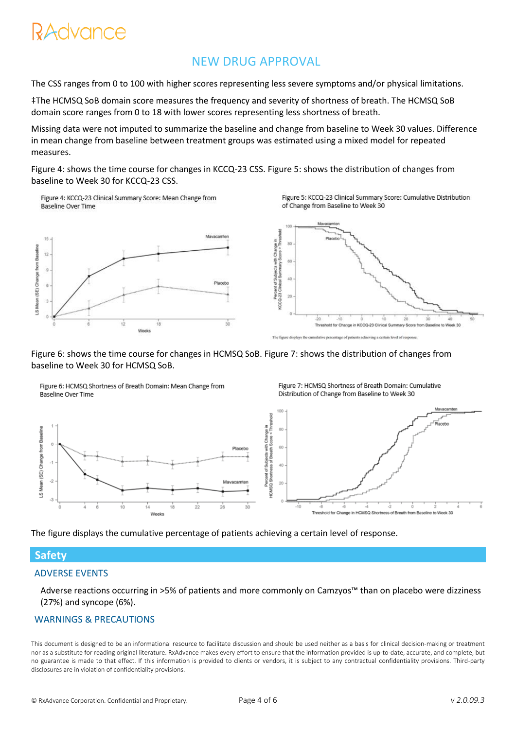# RAdvance

# NEW DRUG APPROVAL

The CSS ranges from 0 to 100 with higher scores representing less severe symptoms and/or physical limitations.

‡The HCMSQ SoB domain score measures the frequency and severity of shortness of breath. The HCMSQ SoB domain score ranges from 0 to 18 with lower scores representing less shortness of breath.

Missing data were not imputed to summarize the baseline and change from baseline to Week 30 values. Difference in mean change from baseline between treatment groups was estimated using a mixed model for repeated measures.

Figure 4: shows the time course for changes in KCCQ-23 CSS. Figure 5: shows the distribution of changes from baseline to Week 30 for KCCQ-23 CSS.

Figure 4: KCCQ-23 Clinical Summary Score: Mean Change from **Baseline Over Time** 



Figure 7: HCMSQ Shortness of Breath Domain: Cumulative

Distribution of Change from Baseline to Week 30



Figure 6: shows the time course for changes in HCMSQ SoB. Figure 7: shows the distribution of changes from baseline to Week 30 for HCMSQ SoB.

Figure 6: HCMSQ Shortness of Breath Domain: Mean Change from Baseline Over Time



The figure displays the cumulative percentage of patients achieving a certain level of response.

## **Safety**

LS Mean (SE) Change from Baseline

## ADVERSE EVENTS

Adverse reactions occurring in >5% of patients and more commonly on Camzyos™ than on placebo were dizziness (27%) and syncope (6%).

## WARNINGS & PRECAUTIONS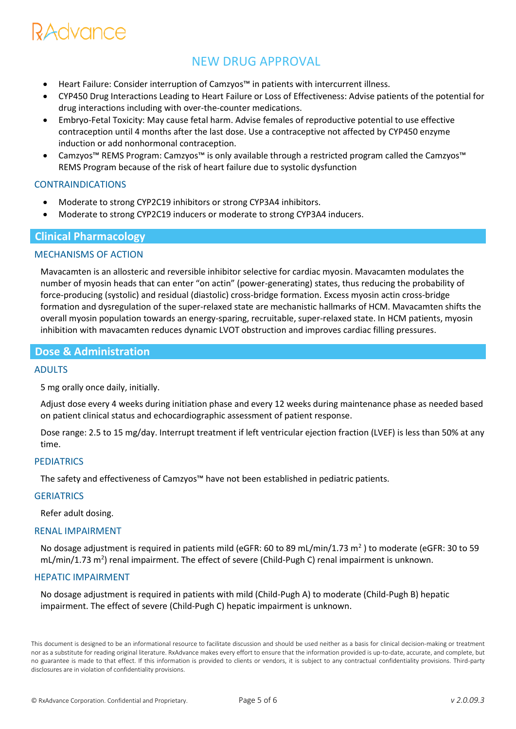# RAdvance

# NEW DRUG APPROVAL

- Heart Failure: Consider interruption of Camzyos™ in patients with intercurrent illness.
- CYP450 Drug Interactions Leading to Heart Failure or Loss of Effectiveness: Advise patients of the potential for drug interactions including with over-the-counter medications.
- Embryo-Fetal Toxicity: May cause fetal harm. Advise females of reproductive potential to use effective contraception until 4 months after the last dose. Use a contraceptive not affected by CYP450 enzyme induction or add nonhormonal contraception.
- Camzyos™ REMS Program: Camzyos™ is only available through a restricted program called the Camzyos™ REMS Program because of the risk of heart failure due to systolic dysfunction

#### CONTRAINDICATIONS

- Moderate to strong CYP2C19 inhibitors or strong CYP3A4 inhibitors.
- Moderate to strong CYP2C19 inducers or moderate to strong CYP3A4 inducers.

## **Clinical Pharmacology**

#### MECHANISMS OF ACTION

Mavacamten is an allosteric and reversible inhibitor selective for cardiac myosin. Mavacamten modulates the number of myosin heads that can enter "on actin" (power-generating) states, thus reducing the probability of force-producing (systolic) and residual (diastolic) cross-bridge formation. Excess myosin actin cross-bridge formation and dysregulation of the super-relaxed state are mechanistic hallmarks of HCM. Mavacamten shifts the overall myosin population towards an energy-sparing, recruitable, super-relaxed state. In HCM patients, myosin inhibition with mavacamten reduces dynamic LVOT obstruction and improves cardiac filling pressures.

## **Dose & Administration**

#### ADULTS

5 mg orally once daily, initially.

Adjust dose every 4 weeks during initiation phase and every 12 weeks during maintenance phase as needed based on patient clinical status and echocardiographic assessment of patient response.

Dose range: 2.5 to 15 mg/day. Interrupt treatment if left ventricular ejection fraction (LVEF) is less than 50% at any time.

#### PEDIATRICS

The safety and effectiveness of Camzyos™ have not been established in pediatric patients.

#### **GERIATRICS**

Refer adult dosing.

#### RENAL IMPAIRMENT

No dosage adjustment is required in patients mild (eGFR: 60 to 89 mL/min/1.73 m<sup>2</sup>) to moderate (eGFR: 30 to 59 mL/min/1.73 m<sup>2</sup>) renal impairment. The effect of severe (Child-Pugh C) renal impairment is unknown.

#### HEPATIC IMPAIRMENT

No dosage adjustment is required in patients with mild (Child-Pugh A) to moderate (Child-Pugh B) hepatic impairment. The effect of severe (Child-Pugh C) hepatic impairment is unknown.

This document is designed to be an informational resource to facilitate discussion and should be used neither as a basis for clinical decision-making or treatment nor as a substitute for reading original literature. RxAdvance makes every effort to ensure that the information provided is up-to-date, accurate, and complete, but no guarantee is made to that effect. If this information is provided to clients or vendors, it is subject to any contractual confidentiality provisions. Third-party disclosures are in violation of confidentiality provisions.